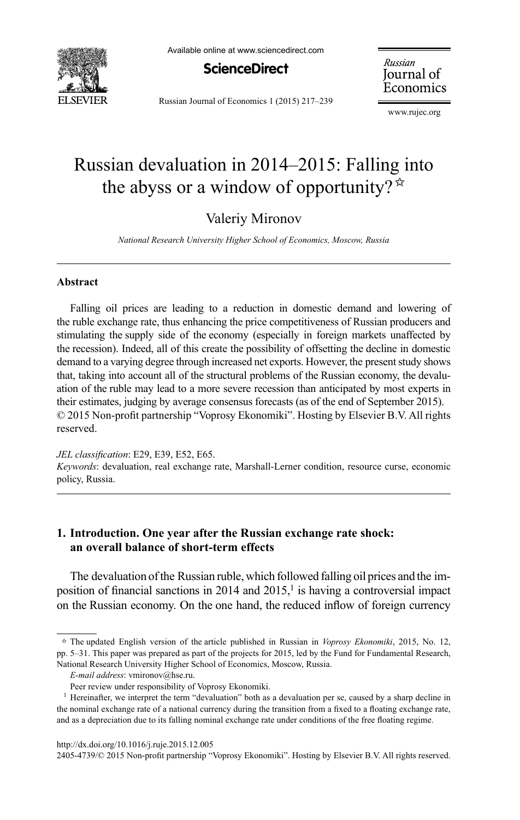

Available online at www.sciencedirect.com



Russian Journal of Economics 1 (2015) 217–239

Russian Journal of Economics

www.rujec.org

# Russian devaluation in 2014–2015: Falling into the abyss or a window of opportunity? $\mathbf{\hat{z}}$

## Valeriy Mironov

*National Research University Higher School of Economics, Moscow, Russia*

#### **Abstract**

Falling oil prices are leading to a reduction in domestic demand and lowering of the ruble exchange rate, thus enhancing the price competitiveness of Russian producers and stimulating the supply side of the economy (especially in foreign markets unaffected by the recession). Indeed, all of this create the possibility of offsetting the decline in domestic demand to a varying degree through increased net exports. However, the present study shows that, taking into account all of the structural problems of the Russian economy, the devaluation of the ruble may lead to a more severe recession than anticipated by most experts in their estimates, judging by average consensus forecasts (as of the end of September 2015).  $\odot$  2015 Non-profit partnership "Voprosy Ekonomiki". Hosting by Elsevier B.V. All rights reserved.

*JEL classification*: E29, E39, E52, E65.

*Keywords*: devaluation, real exchange rate, Marshall-Lerner condition, resource curse, economic policy, Russia.

#### **1. Introduction. One year after the Russian exchange rate shock: an overall balance of short-term effects**

The devaluation of the Russian ruble, which followed falling oil prices and the imposition of financial sanctions in 2014 and 2015,<sup>1</sup> is having a controversial impact on the Russian economy. On the one hand, the reduced inflow of foreign currency

2405-4739/© 2015 Non-profit partnership "Voprosy Ekonomiki". Hosting by Elsevier B.V. All rights reserved.

 $\dot{\tau}$  The updated English version of the article published in Russian in *Voprosy Ekonomiki*, 2015, No. 12, pp. 5–31. This paper was prepared as part of the projects for 2015, led by the Fund for Fundamental Research, National Research University Higher School of Economics, Moscow, Russia.

*E-mail address*: vmironov@hse.ru.

Peer review under responsibility of Voprosy Ekonomiki.

<sup>&</sup>lt;sup>1</sup> Hereinafter, we interpret the term "devaluation" both as a devaluation per se, caused by a sharp decline in the nominal exchange rate of a national currency during the transition from a fixed to a floating exchange rate, and as a depreciation due to its falling nominal exchange rate under conditions of the free floating regime.

http://dx.doi.org/10.1016/j.ruje.2015.12.005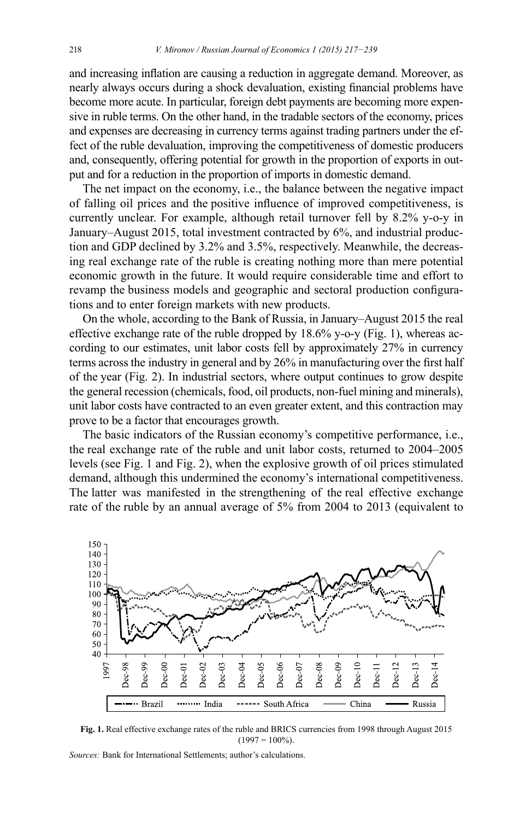and increasing inflation are causing a reduction in aggregate demand. Moreover, as nearly always occurs during a shock devaluation, existing financial problems have become more acute. In particular, foreign debt payments are becoming more expensive in ruble terms. On the other hand, in the tradable sectors of the economy, prices and expenses are decreasing in currency terms against trading partners under the effect of the ruble devaluation, improving the competitiveness of domestic producers and, consequently, offering potential for growth in the proportion of exports in output and for a reduction in the proportion of imports in domestic demand.

The net impact on the economy, i.e., the balance between the negative impact of falling oil prices and the positive influence of improved competitiveness, is currently unclear. For example, although retail turnover fell by 8.2% y-o-y in January-August 2015, total investment contracted by 6%, and industrial production and GDP declined by 3.2% and 3.5%, respectively. Meanwhile, the decreasing real exchange rate of the ruble is creating nothing more than mere potential economic growth in the future. It would require considerable time and effort to revamp the business models and geographic and sectoral production configurations and to enter foreign markets with new products.

On the whole, according to the Bank of Russia, in January–August 2015 the real effective exchange rate of the ruble dropped by 18.6% y-o-y (Fig. 1), whereas according to our estimates, unit labor costs fell by approximately 27% in currency terms across the industry in general and by  $26\%$  in manufacturing over the first half of the year (Fig. 2). In industrial sectors, where output continues to grow despite the general recession (chemicals, food, oil products, non-fuel mining and minerals ), unit labor costs have contracted to an even greater extent, and this contraction may prove to be a factor that encourages growth.

The basic indicators of the Russian economy's competitive performance, i.e., the real exchange rate of the ruble and unit labor costs, returned to 2004–2005 levels (see Fig. 1 and Fig. 2), when the explosive growth of oil prices stimulated demand, although this undermined the economy's international competitiveness. The latter was manifested in the strengthening of the real effective exchange rate of the ruble by an annual average of 5% from 2004 to 2013 (equivalent to



Fig. 1. Real effective exchange rates of the ruble and BRICS currencies from 1998 through August 2015  $(1997 = 100\%)$ .

*Sources:* Bank for International Settlements: author's calculations.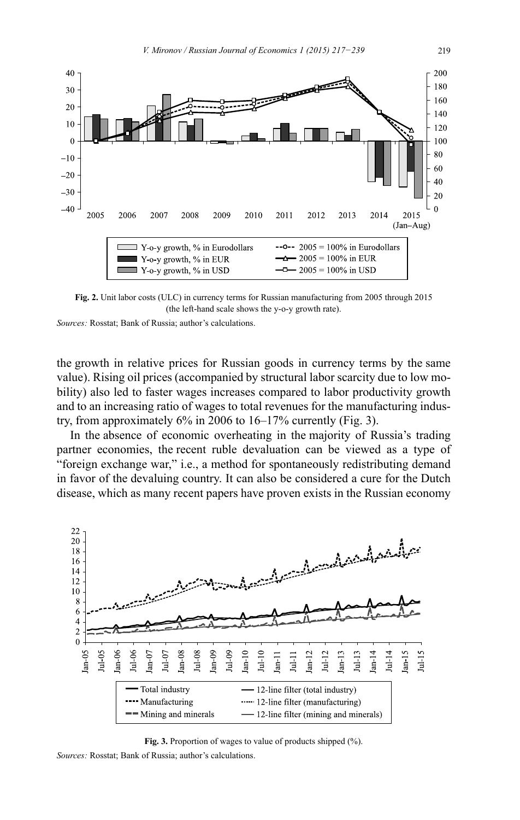

Fig. 2. Unit labor costs (ULC) in currency terms for Russian manufacturing from 2005 through 2015 (the left-hand scale shows the y-o-y growth rate).

*Sources: Rosstat: Bank of Russia: author's calculations.* 

the growth in relative prices for Russian goods in currency terms by the same value). Rising oil prices (accompanied by structural labor scarcity due to low mobility) also led to faster wages increases compared to labor productivity growth and to an increasing ratio of wages to total revenues for the manufacturing industry, from approximately 6% in 2006 to 16–17% currently (Fig. 3).

In the absence of economic overheating in the majority of Russia's trading partner economies, the recent ruble devaluation can be viewed as a type of "foreign exchange war," i.e., a method for spontaneously redistributing demand in favor of the devaluing country. It can also be considered a cure for the Dutch disease, which as many recent papers have proven exists in the Russian economy



**Fig. 3.** Proportion of wages to value of products shipped (%). *Sources: Rosstat: Bank of Russia: author's calculations.*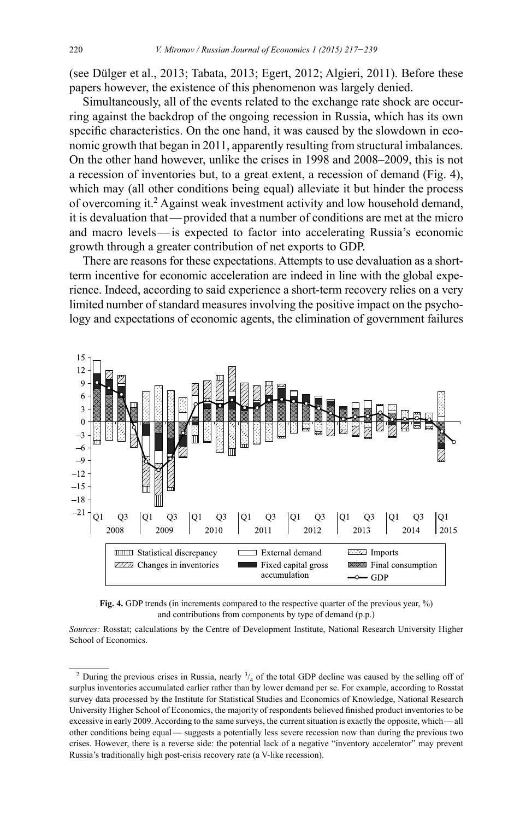(see Dülger et al., 2013; Tabata, 2013; Egert, 2012; Algieri, 2011). Before these papers however, the existence of this phenomenon was largely denied.

Simultaneously, all of the events related to the exchange rate shock are occurring against the backdrop of the ongoing recession in Russia, which has its own specific characteristics. On the one hand, it was caused by the slowdown in economic growth that began in 2011, apparently resulting from structural imbalances. On the other hand however, unlike the crises in 1998 and 2008–2009, this is not a recession of inventories but, to a great extent, a recession of demand (Fig. 4), which may (all other conditions being equal) alleviate it but hinder the process of overcoming it.<sup>2</sup> Against weak investment activity and low household demand, it is devaluation that — provided that a number of conditions are met at the micro and macro levels—is expected to factor into accelerating Russia's economic growth through a greater contribution of net exports to GDP.

There are reasons for these expectations. Attempts to use devaluation as a shortterm incentive for economic acceleration are indeed in line with the global experience. Indeed, according to said experience a short-term recovery relies on a very limited number of standard measures involving the positive impact on the psychology and expectations of economic agents, the elimination of government failures



**Fig. 4.** GDP trends (in increments compared to the respective quarter of the previous year, %) and contributions from components by type of demand (p.p.)

Sources: Rosstat; calculations by the Centre of Development Institute, National Research University Higher School of Economics.

<sup>&</sup>lt;sup>2</sup> During the previous crises in Russia, nearly  $\frac{3}{4}$  of the total GDP decline was caused by the selling off of surplus inventories accumulated earlier rather than by lower demand per se. For example, according to Rosstat survey data processed by the Institute for Statistical Studies and Economics of Knowledge, National Research University Higher School of Economics, the majority of respondents believed finished product inventories to be excessive in early 2009. According to the same surveys, the current situation is exactly the opposite, which—all other conditions being equal — suggests a potentially less severe recession now than during the previous two crises. However, there is a reverse side: the potential lack of a negative "inventory accelerator" may prevent Russia's traditionally high post-crisis recovery rate (a V-like recession).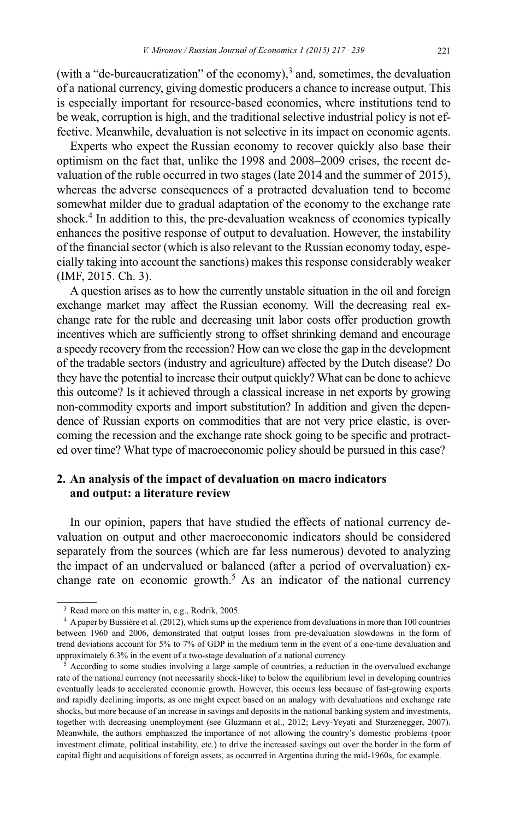(with a "de-bureaucratization" of the economy),<sup>3</sup> and, sometimes, the devaluation of a national currency, giving domestic producers a chance to increase output. This is especially important for resource-based economies, where institutions tend to be weak, corruption is high, and the traditional selective industrial policy is not effective. Meanwhile, devaluation is not selective in its impact on economic agents.

Experts who expect the Russian economy to recover quickly also base their optimism on the fact that, unlike the 1998 and 2008–2009 crises, the recent devaluation of the ruble occurred in two stages (late 2014 and the summer of 2015), whereas the adverse consequences of a protracted devaluation tend to become somewhat milder due to gradual adaptation of the economy to the exchange rate shock.<sup>4</sup> In addition to this, the pre-devaluation weakness of economies typically enhances the positive response of output to devaluation. However, the instability of the financial sector (which is also relevant to the Russian economy today, especially taking into account the sanctions) makes this response considerably weaker  $(MF, 2015, Ch. 3).$ 

A question arises as to how the currently unstable situation in the oil and foreign exchange market may affect the Russian economy. Will the decreasing real exchange rate for the ruble and decreasing unit labor costs offer production growth incentives which are sufficiently strong to offset shrinking demand and encourage a speedy recovery from the recession? How can we close the gap in the development of the tradable sectors (industry and agriculture) affected by the Dutch disease? Do they have the potential to increase their output quickly? What can be done to achieve this outcome? Is it achieved through a classical increase in net exports by growing non-commodity exports and import substitution? In addition and given the dependence of Russian exports on commodities that are not very price elastic, is overcoming the recession and the exchange rate shock going to be specific and protracted over time? What type of macroeconomic policy should be pursued in this case?

## **2. An analysis of the impact of devaluation on macro indicators and output: a literature review**

In our opinion, papers that have studied the effects of national currency devaluation on output and other macroeconomic indicators should be considered separately from the sources (which are far less numerous) devoted to analyzing the impact of an undervalued or balanced (after a period of overvaluation) exchange rate on economic growth.<sup>5</sup> As an indicator of the national currency

<sup>&</sup>lt;sup>3</sup> Read more on this matter in, e.g., Rodrik, 2005.<br><sup>4</sup> A paper by Bussière et al. (2012), which sums up the experience from devaluations in more than 100 countries between 1960 and 2006, demonstrated that output losses from pre-devaluation slowdowns in the form of trend deviations account for 5% to 7% of GDP in the medium term in the event of a one-time devaluation and approximately 6.3% in the event of a two-stage devaluation of a national currency.

 $5$  According to some studies involving a large sample of countries, a reduction in the overvalued exchange rate of the national currency (not necessarily shock-like) to below the equilibrium level in developing countries eventually leads to accelerated economic growth. However, this occurs less because of fast-growing exports and rapidly declining imports, as one might expect based on an analogy with devaluations and exchange rate shocks, but more because of an increase in savings and deposits in the national banking system and investments, together with decreasing unemployment (see Gluzmann et al., 2012; Levy-Yeyati and Sturzenegger, 2007). Meanwhile, the authors emphasized the importance of not allowing the country's domestic problems (poor investment climate , political instability, etc.) to drive the increased savings out over the border in the form of capital flight and acquisitions of foreign assets, as occurred in Argentina during the mid-1960s, for example.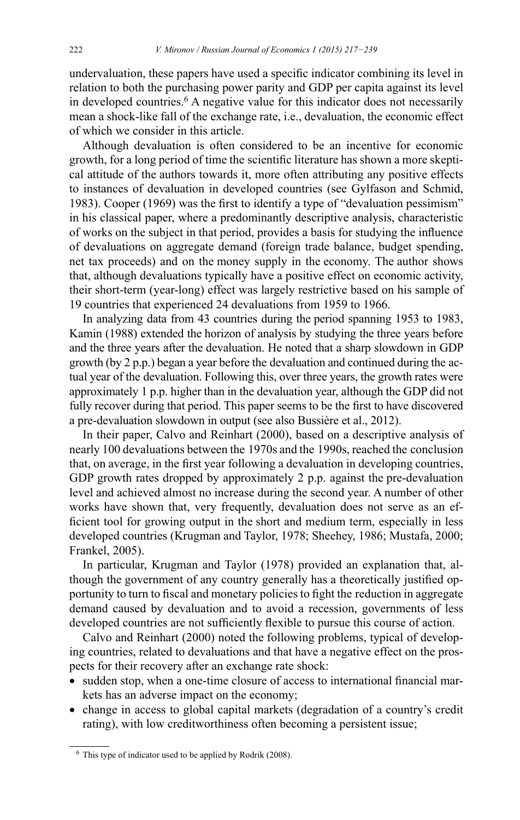undervaluation, these papers have used a specific indicator combining its level in relation to both the purchasing power parity and GDP per capita against its level in developed countries.<sup>6</sup> A negative value for this indicator does not necessarily mean a shock-like fall of the exchange rate, *i.e.*, devaluation, the economic effect of which we consider in this article.

Although devaluation is often considered to be an incentive for economic growth, for a long period of time the scientific literature has shown a more skeptical attitude of the authors towards it, more often attributing any positive effects to instances of devaluation in developed countries (see Gylfason and Schmid, 1983). Cooper (1969) was the first to identify a type of "devaluation pessimism" in his classical paper, where a predominantly descriptive analysis, characteristic of works on the subject in that period, provides a basis for studying the influence of devaluations on aggregate demand (foreign trade balance, budget spending, net tax proceeds) and on the money supply in the economy. The author shows that, although devaluations typically have a positive effect on economic activity, their short-term (year-long) effect was largely restrictive based on his sample of 19 countries that experienced 24 devaluations from 1959 to 1966.

In analyzing data from 43 countries during the period spanning 1953 to 1983, Kamin (1988) extended the horizon of analysis by studying the three years before and the three years after the devaluation. He noted that a sharp slowdown in GDP growth (by 2 p.p.) began a year before the devaluation and continued during the actual year of the devaluation. Following this, over three years, the growth rates were approximately 1 p.p. higher than in the devaluation year, although the GDP did not fully recover during that period. This paper seems to be the first to have discovered a pre-devaluation slowdown in output (see also Bussière et al., 2012).

In their paper, Calvo and Reinhart (2000), based on a descriptive analysis of nearly 100 devaluations between the 1970s and the 1990s, reached the conclusion that, on average, in the first year following a devaluation in developing countries, GDP growth rates dropped by approximately 2 p.p. against the pre-devaluation level and achieved almost no increase during the second year. A number of other works have shown that, very frequently, devaluation does not serve as an efficient tool for growing output in the short and medium term, especially in less developed countries (Krugman and Taylor, 1978; Sheehey, 1986; Mustafa, 2000; Frankel, 2005).

In particular, Krugman and Taylor (1978) provided an explanation that, although the government of any country generally has a theoretically justified opportunity to turn to fiscal and monetary policies to fight the reduction in aggregate demand caused by devaluation and to avoid a recession, governments of less developed countries are not sufficiently flexible to pursue this course of action.

Calvo and Reinhart (2000) noted the following problems, typical of developing countries, related to devaluations and that have a negative effect on the prospects for their recovery after an exchange rate shock:

- sudden stop, when a one-time closure of access to international financial markets has an adverse impact on the economy;
- change in access to global capital markets (degradation of a country's credit rating), with low creditworthiness often becoming a persistent issue;

 $6$  This type of indicator used to be applied by Rodrik (2008).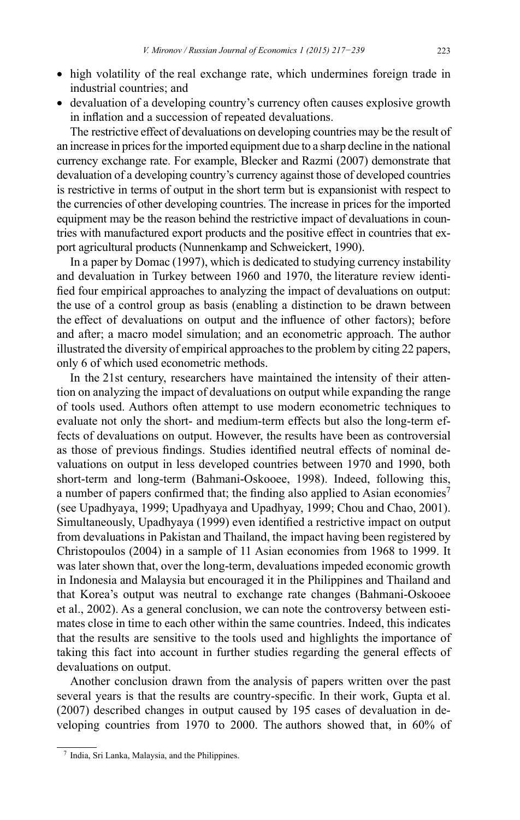- high volatility of the real exchange rate, which undermines foreign trade in industrial countries; and
- devaluation of a developing country's currency often causes explosive growth in inflation and a succession of repeated devaluations.

The restrictive effect of devaluations on developing countries may be the result of an increase in prices for the imported equipment due to a sharp decline in the national currency exchange rate. For example, Blecker and Razmi (2007) demonstrate that devaluation of a developing country's currency against those of developed countries is restrictive in terms of output in the short term but is expansionist with respect to the currencies of other developing countries. The increase in prices for the imported equipment may be the reason behind the restrictive impact of devaluations in countries with manufactured export products and the positive effect in countries that export agricultural products (Nunnenkamp and Schweickert, 1990).

In a paper by Domac (1997), which is dedicated to studying currency instability and devaluation in Turkey between 1960 and 1970, the literature review identi fied four empirical approaches to analyzing the impact of devaluations on output: the use of a control group as basis (enabling a distinction to be drawn between the effect of devaluations on output and the influence of other factors); before and after; a macro model simulation; and an econometric approach. The author illustrated the diversity of empirical approaches to the problem by citing 22 papers, only 6 of which used econometric methods.

In the 21st century, researchers have maintained the intensity of their attention on analyzing the impact of devaluations on output while expanding the range of tools used. Authors often attempt to use modern econometric techniques to evaluate not only the short- and medium-term effects but also the long-term effects of devaluations on output. However, the results have been as controversial as those of previous findings. Studies identified neutral effects of nominal devaluations on output in less developed countries between 1970 and 1990, both short-term and long-term (Bahmani-Oskooee, 1998). Indeed, following this, a number of papers confirmed that; the finding also applied to Asian economies<sup>7</sup> (see Upadhyaya, 1999; Upadhyaya and Upadhyay, 1999; Chou and Chao, 2001). Simultaneously, Upadhyaya (1999) even identified a restrictive impact on output from devaluations in Pakistan and Thailand, the impact having been registered by Christopoulos (2004) in a sample of 11 Asian economies from 1968 to 1999. It was later shown that, over the long-term, devaluations impeded economic growth in Indonesia and Malaysia but encouraged it in the Philippines and Thailand and that Korea's output was neutral to exchange rate changes (Bahmani-Oskooee et al., 2002). As a general conclusion, we can note the controversy between estimates close in time to each other within the same countries. Indeed, this indicates that the results are sensitive to the tools used and highlights the importance of taking this fact into account in further studies regarding the general effects of devaluations on output.

Another conclusion drawn from the analysis of papers written over the past several years is that the results are country-specific. In their work, Gupta et al. (2007) described changes in output caused by 195 cases of devaluation in developing countries from 1970 to 2000. The authors showed that, in 60% of

 <sup>7</sup> India, Sri Lanka, Malaysia, and the Philippines.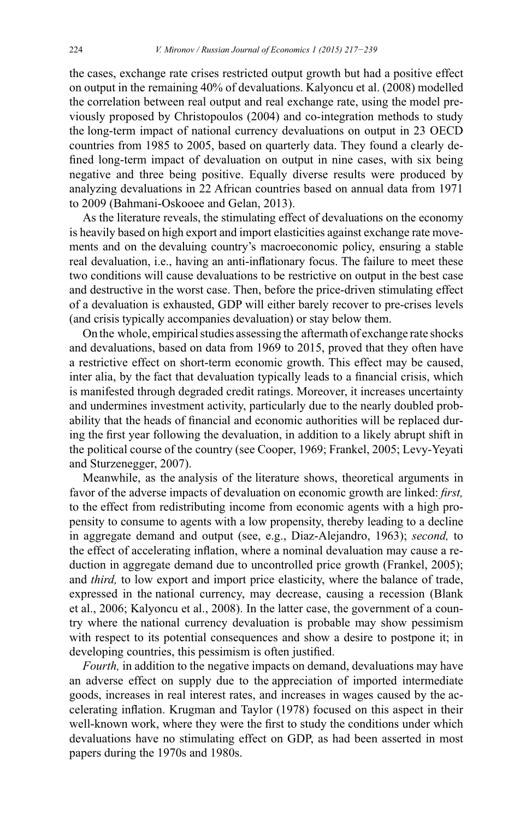the cases, exchange rate crises restricted output growth but had a positive effect on output in the remaining 40% of devaluations. Kalyoncu et al. (2008) modelled the correlation between real output and real exchange rate, using the model previously proposed by Christopoulos (2004) and co-integration methods to study the long-term impact of national currency devaluations on output in 23 OECD countries from 1985 to 2005, based on quarterly data. They found a clearly de fined long-term impact of devaluation on output in nine cases, with six being negative and three being positive. Equally diverse results were produced by analyzing devaluations in 22 African countries based on annual data from 1971 to 2009 (Bahmani-Oskooee and Gelan, 2013).

As the literature reveals, the stimulating effect of devaluations on the economy is heavily based on high export and import elasticities against exchange rate movements and on the devaluing country's macroeconomic policy, ensuring a stable real devaluation, i.e., having an anti-inflationary focus. The failure to meet these two conditions will cause devaluations to be restrictive on output in the best case and destructive in the worst case. Then, before the price-driven stimulating effect of a devaluation is exhausted, GDP will either barely recover to pre-crises levels (and crisis typically accompanies devaluation) or stay below them.

On the whole, empirical studies assessing the aftermath of exchange rate shocks and devaluations, based on data from 1969 to 2015, proved that they often have a restrictive effect on short-term economic growth. This effect may be caused, inter alia, by the fact that devaluation typically leads to a financial crisis, which is manifested through degraded credit ratings. Moreover, it increases uncertainty and undermines investment activity, particularly due to the nearly doubled probability that the heads of financial and economic authorities will be replaced during the first year following the devaluation, in addition to a likely abrupt shift in the political course of the country (see Cooper, 1969; Frankel, 2005; Levy-Yeyati and Sturzenegger, 2007).

Meanwhile, as the analysis of the literature shows, theoretical arguments in favor of the adverse impacts of devaluation on economic growth are linked: *first*, to the effect from redistributing income from economic agents with a high propensity to consume to agents with a low propensity, thereby leading to a decline in aggregate demand and output (see, e.g., Diaz-Alejandro, 1963); second, to the effect of accelerating inflation, where a nominal devaluation may cause a reduction in aggregate demand due to uncontrolled price growth (Frankel, 2005); and *third,* to low export and import price elasticity, where the balance of trade, expressed in the national currency, may decrease, causing a recession (Blank et al., 2006; Kalyoncu et al., 2008). In the latter case, the government of a country where the national currency devaluation is probable may show pessimism with respect to its potential consequences and show a desire to postpone it; in developing countries, this pessimism is often justified.

*Fourth*, in addition to the negative impacts on demand, devaluations may have an adverse effect on supply due to the appreciation of imported intermediate goods, increases in real interest rates, and increases in wages caused by the accelerating inflation. Krugman and Taylor (1978) focused on this aspect in their well-known work, where they were the first to study the conditions under which devaluations have no stimulating effect on GDP, as had been asserted in most papers during the 1970s and 1980s.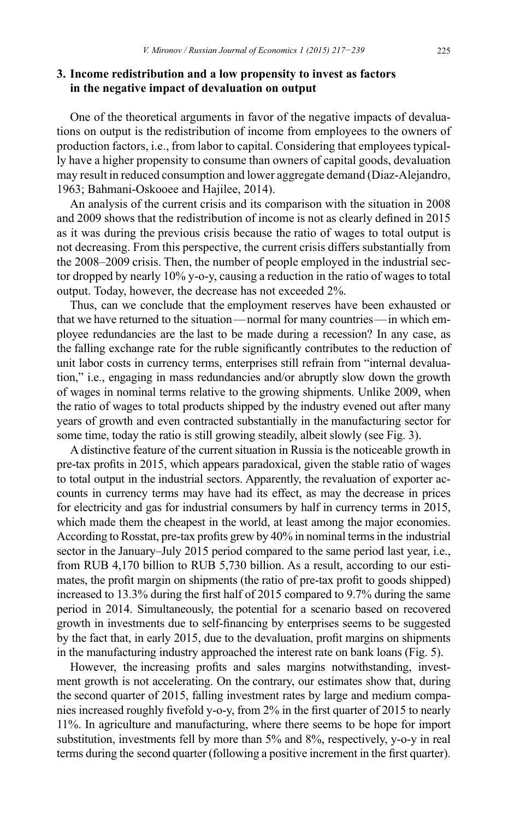## **3. Income redistribution and a low propensity to invest as factors in the negative impact of devaluation on output**

One of the theoretical arguments in favor of the negative impacts of devaluations on output is the redistribution of income from employees to the owners of production factors, i.e., from labor to capital. Considering that employees typically have a higher propensity to consume than owners of capital goods, devaluation may result in reduced consumption and lower aggregate demand (Diaz-Alejandro, 1963; Bahmani-Oskooee and Hajilee, 2014).

An analysis of the current crisis and its comparison with the situation in 2008 and 2009 shows that the redistribution of income is not as clearly defined in  $2015$ as it was during the previous crisis because the ratio of wages to total output is not decreasing. From this perspective, the current crisis differs substantially from the 2008–2009 crisis. Then, the number of people employed in the industrial sector dropped by nearly 10% y-o-y, causing a reduction in the ratio of wages to total output. Today, however, the decrease has not exceeded 2%.

Thus, can we conclude that the employment reserves have been exhausted or that we have returned to the situation — normal for many countries — in which employee redundancies are the last to be made during a recession? In any case, as the falling exchange rate for the ruble significantly contributes to the reduction of unit labor costs in currency terms, enterprises still refrain from "internal devaluation," i.e., engaging in mass redundancies and/or abruptly slow down the growth of wages in nominal terms relative to the growing shipments. Unlike 2009, when the ratio of wages to total products shipped by the industry evened out after many years of growth and even contracted substantially in the manufacturing sector for some time, today the ratio is still growing steadily, albeit slowly (see Fig. 3).

A distinctive feature of the current situation in Russia is the noticeable growth in pre-tax profits in 2015, which appears paradoxical, given the stable ratio of wages to total output in the industrial sectors. Apparently, the revaluation of exporter accounts in currency terms may have had its effect, as may the decrease in prices for electricity and gas for industrial consumers by half in currency terms in 2015, which made them the cheapest in the world, at least among the major economies. According to Rosstat, pre-tax profits grew by 40% in nominal terms in the industrial sector in the January–July 2015 period compared to the same period last year, i.e., from RUB 4,170 billion to RUB 5,730 billion. As a result, according to our estimates, the profit margin on shipments (the ratio of pre-tax profit to goods shipped) increased to  $13.3\%$  during the first half of 2015 compared to 9.7% during the same period in 2014. Simultaneously, the potential for a scenario based on recovered growth in investments due to self-financing by enterprises seems to be suggested by the fact that, in early 2015, due to the devaluation, profit margins on shipments in the manufacturing industry approached the interest rate on bank loans (Fig. 5).

However, the increasing profits and sales margins notwithstanding, investment growth is not accelerating. On the contrary, our estimates show that, during the second quarter of 2015, falling investment rates by large and medium companies increased roughly fivefold y-o-y, from 2% in the first quarter of 2015 to nearly 11%. In agriculture and manufacturing, where there seems to be hope for import substitution, investments fell by more than 5% and 8%, respectively, y-o-y in real terms during the second quarter (following a positive increment in the first quarter).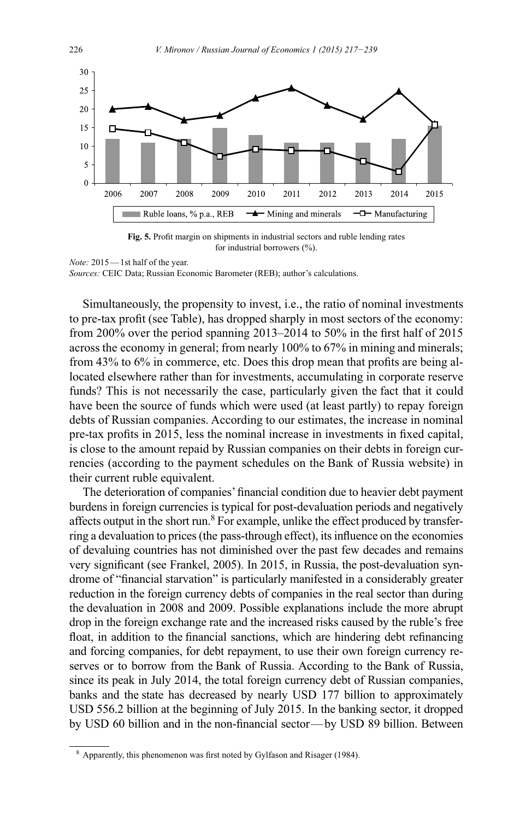

Fig. 5. Profit margin on shipments in industrial sectors and ruble lending rates for industrial borrowers  $(\% )$ .

*Note:* 2015 — 1st half of the year.

*Sources: CEIC Data; Russian Economic Barometer (REB); author's calculations.* 

Simultaneously, the propensity to invest, i.e., the ratio of nominal investments to pre-tax profit (see Table), has dropped sharply in most sectors of the economy: from 200% over the period spanning 2013–2014 to 50% in the first half of 2015 across the economy in general; from nearly  $100\%$  to  $67\%$  in mining and minerals; from  $43\%$  to  $6\%$  in commerce, etc. Does this drop mean that profits are being allocated elsewhere rather than for investments, accumulating in corporate reserve funds? This is not necessarily the case, particularly given the fact that it could have been the source of funds which were used (at least partly) to repay foreign debts of Russian companies. According to our estimates, the increase in nominal pre-tax profits in 2015, less the nominal increase in investments in fixed capital, is close to the amount repaid by Russian companies on their debts in foreign currencies (according to the payment schedules on the Bank of Russia website) in their current ruble equivalent.

The deterioration of companies' financial condition due to heavier debt payment burdens in foreign currencies is typical for post-devaluation periods and negatively affects output in the short run.<sup>8</sup> For example, unlike the effect produced by transferring a devaluation to prices (the pass-through effect), its influence on the economies of devaluing countries has not diminished over the past few decades and remains very significant (see Frankel, 2005). In 2015, in Russia, the post-devaluation syndrome of "financial starvation" is particularly manifested in a considerably greater reduction in the foreign currency debts of companies in the real sector than during the devaluation in 2008 and 2009. Possible explanations include the more abrupt drop in the foreign exchange rate and the increased risks caused by the ruble's free float, in addition to the financial sanctions, which are hindering debt refinancing and forcing companies, for debt repayment, to use their own foreign currency reserves or to borrow from the Bank of Russia. According to the Bank of Russia, since its peak in July 2014, the total foreign currency debt of Russian companies, banks and the state has decreased by nearly USD 177 billion to approximately USD 556.2 billion at the beginning of July 2015. In the banking sector, it dropped by USD 60 billion and in the non-financial sector-by USD 89 billion. Between

 $8$  Apparently, this phenomenon was first noted by Gylfason and Risager (1984).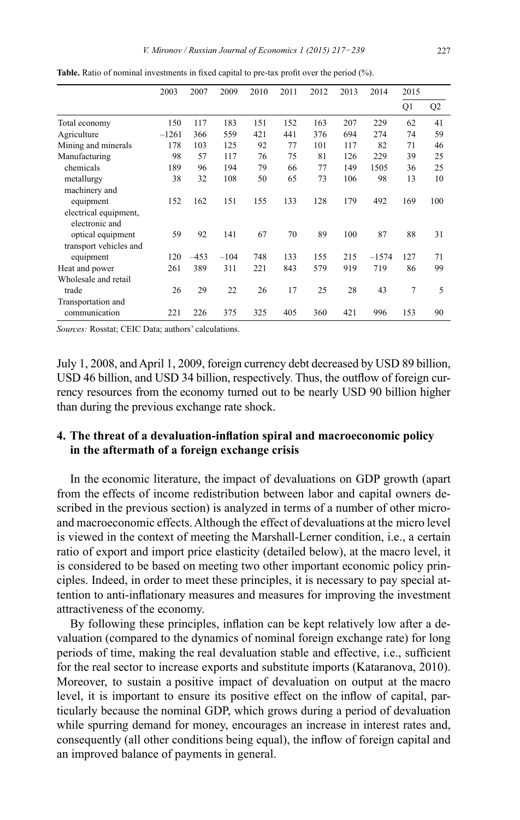|                        | 2003    | 2007   | 2009   | 2010 | 2011 | 2012 | 2013 | 2014    | 2015 |                |
|------------------------|---------|--------|--------|------|------|------|------|---------|------|----------------|
|                        |         |        |        |      |      |      |      |         | Q1   | Q <sub>2</sub> |
| Total economy          | 150     | 117    | 183    | 151  | 152  | 163  | 207  | 229     | 62   | 41             |
| Agriculture            | $-1261$ | 366    | 559    | 421  | 441  | 376  | 694  | 274     | 74   | 59             |
| Mining and minerals    | 178     | 103    | 125    | 92   | 77   | 101  | 117  | 82      | 71   | 46             |
| Manufacturing          | 98      | 57     | 117    | 76   | 75   | 81   | 126  | 229     | 39   | 25             |
| chemicals              | 189     | 96     | 194    | 79   | 66   | 77   | 149  | 1505    | 36   | 25             |
| metallurgy             | 38      | 32     | 108    | 50   | 65   | 73   | 106  | 98      | 13   | 10             |
| machinery and          |         |        |        |      |      |      |      |         |      |                |
| equipment              | 152     | 162    | 151    | 155  | 133  | 128  | 179  | 492     | 169  | 100            |
| electrical equipment,  |         |        |        |      |      |      |      |         |      |                |
| electronic and         |         |        |        |      |      |      |      |         |      |                |
| optical equipment      | 59      | 92     | 141    | 67   | 70   | 89   | 100  | 87      | 88   | 31             |
| transport vehicles and |         |        |        |      |      |      |      |         |      |                |
| equipment              | 120     | $-453$ | $-104$ | 748  | 133  | 155  | 215  | $-1574$ | 127  | 71             |
| Heat and power         | 261     | 389    | 311    | 221  | 843  | 579  | 919  | 719     | 86   | 99             |
| Wholesale and retail   |         |        |        |      |      |      |      |         |      |                |
| trade                  | 26      | 29     | 22     | 26   | 17   | 25   | 28   | 43      | 7    | 5              |
| Transportation and     |         |        |        |      |      |      |      |         |      |                |
| communication          | 221     | 226    | 375    | 325  | 405  | 360  | 421  | 996     | 153  | 90             |

**Table.** Ratio of nominal investments in fixed capital to pre-tax profit over the period (%).

*Sources:* Rosstat; CEIC Data; authors' calculations.

July 1, 2008, and April 1, 2009, foreign currency debt decreased by USD 89 billion, USD 46 billion, and USD 34 billion, respectively. Thus, the outflow of foreign currency resources from the economy turned out to be nearly USD 90 billion higher than during the previous exchange rate shock.

## 4. The threat of a devaluation-inflation spiral and macroeconomic policy **in the aftermath of a foreign exchange crisis**

In the economic literature, the impact of devaluations on GDP growth (apart from the effects of income redistribution between labor and capital owners described in the previous section) is analyzed in terms of a number of other microand macroeconomic effects. Although the effect of devaluations at the micro level is viewed in the context of meeting the Marshall-Lerner condition, i.e., a certain ratio of export and import price elasticity (detailed below), at the macro level, it is considered to be based on meeting two other important economic policy principles. Indeed, in order to meet these principles, it is necessary to pay special attention to anti-inflationary measures and measures for improving the investment attractiveness of the economy.

By following these principles, inflation can be kept relatively low after a devaluation (compared to the dynamics of nominal foreign exchange rate) for long periods of time, making the real devaluation stable and effective, i.e., sufficient for the real sector to increase exports and substitute imports (Kataranova, 2010). Moreover, to sustain a positive impact of devaluation on output at the macro level, it is important to ensure its positive effect on the inflow of capital, particularly because the nominal GDP, which grows during a period of devaluation while spurring demand for money, encourages an increase in interest rates and, consequently (all other conditions being equal), the inflow of foreign capital and an improved balance of payments in general.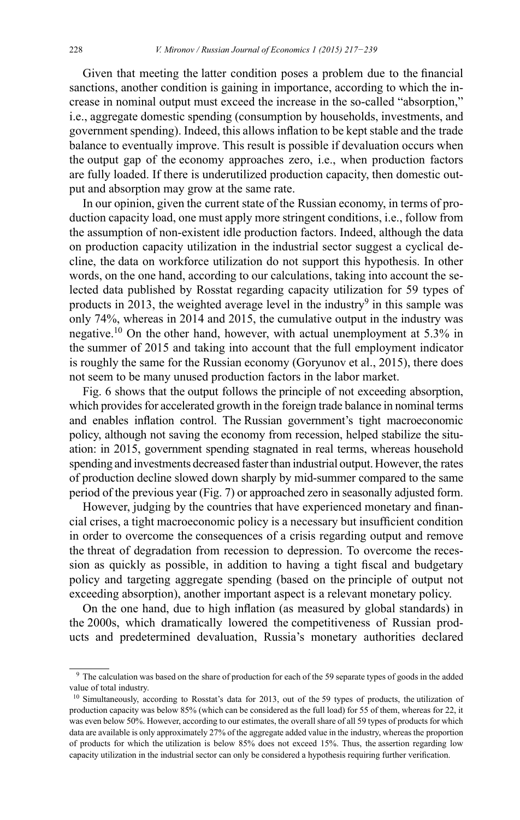Given that meeting the latter condition poses a problem due to the financial sanctions, another condition is gaining in importance, according to which the increase in nominal output must exceed the increase in the so-called "absorption," i.e., aggregate domestic spending (consumption by households, investments, and government spending). Indeed, this allows inflation to be kept stable and the trade balance to eventually improve. This result is possible if devaluation occurs when the output gap of the economy approaches zero, *i.e.*, when production factors are fully loaded. If there is underutilized production capacity, then domestic output and absorption may grow at the same rate.

In our opinion, given the current state of the Russian economy, in terms of production capacity load, one must apply more stringent conditions, *i.e.*, follow from the assumption of non-existent idle production factors. Indeed, although the data on production capacity utilization in the industrial sector suggest a cyclical decline, the data on workforce utilization do not support this hypothesis. In other words, on the one hand, according to our calculations, taking into account the selected data published by Rosstat regarding capacity utilization for 59 types of products in 2013, the weighted average level in the industry<sup>9</sup> in this sample was only 74%, whereas in 2014 and 2015, the cumulative output in the industry was negative.<sup>10</sup> On the other hand, however, with actual unemployment at 5.3% in the summer of 2015 and taking into account that the full employment indicator is roughly the same for the Russian economy (Goryunov et al., 2015), there does not seem to be many unused production factors in the labor market.

Fig. 6 shows that the output follows the principle of not exceeding absorption, which provides for accelerated growth in the foreign trade balance in nominal terms and enables inflation control. The Russian government's tight macroeconomic policy, although not saving the economy from recession, helped stabilize the situation: in 2015, government spending stagnated in real terms, whereas household spending and investments decreased faster than industrial output. However, the rates of production decline slowed down sharply by mid-summer compared to the same period of the previous year (Fig. 7) or approached zero in seasonally adjusted form.

However, judging by the countries that have experienced monetary and financial crises, a tight macroeconomic policy is a necessary but insufficient condition in order to overcome the consequences of a crisis regarding output and remove the threat of degradation from recession to depression. To overcome the recession as quickly as possible, in addition to having a tight fiscal and budgetary policy and targeting aggregate spending (based on the principle of output not exceeding absorption), another important aspect is a relevant monetary policy.

On the one hand, due to high inflation (as measured by global standards) in the 2000s, which dramatically lowered the competitiveness of Russian products and predetermined devaluation, Russia's monetary authorities declared

 $9$  The calculation was based on the share of production for each of the 59 separate types of goods in the added value of total industry.

<sup>&</sup>lt;sup>10</sup> Simultaneously, according to Rosstat's data for 2013, out of the 59 types of products, the utilization of production capacity was below 85% (which can be considered as the full load) for 55 of them, whereas for 22, it was even below 50%. However, according to our estimates, the overall share of all 59 types of products for which data are available is only approximately 27% of the aggregate added value in the industry, whereas the proportion of products for which the utilization is below 85% does not exceed 15%. Thus, the assertion regarding low capacity utilization in the industrial sector can only be considered a hypothesis requiring further verification.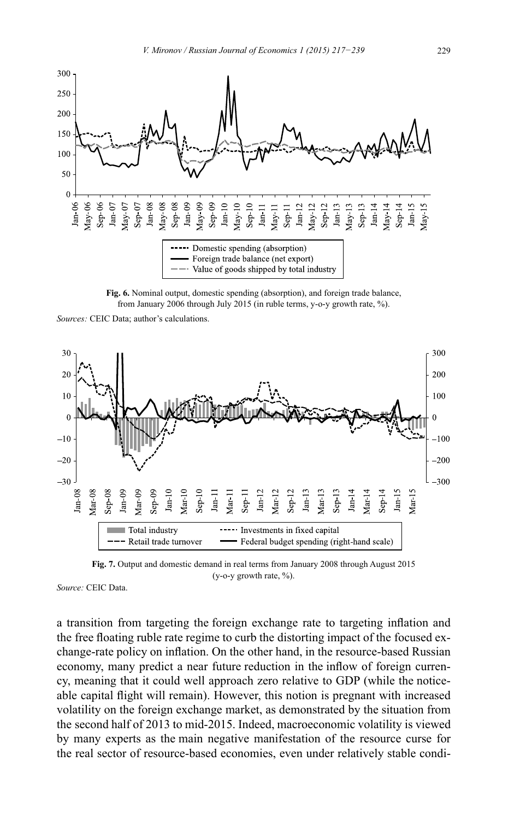

Fig. 6. Nominal output, domestic spending (absorption), and foreign trade balance, from January 2006 through July 2015 (in ruble terms, y-o-y growth rate, %).

Sources: CEIC Data; author's calculations.



Fig. 7. Output and domestic demand in real terms from January 2008 through August 2015 (y-o-y growth rate,  $\%$ ).

Source: CEIC Data.

a transition from targeting the foreign exchange rate to targeting inflation and the free floating ruble rate regime to curb the distorting impact of the focused exchange-rate policy on inflation. On the other hand, in the resource-based Russian economy, many predict a near future reduction in the inflow of foreign currency, meaning that it could well approach zero relative to GDP (while the noticeable capital flight will remain). However, this notion is pregnant with increased volatility on the foreign exchange market, as demonstrated by the situation from the second half of 2013 to mid-2015. Indeed, macroeconomic volatility is viewed by many experts as the main negative manifestation of the resource curse for the real sector of resource-based economies, even under relatively stable condi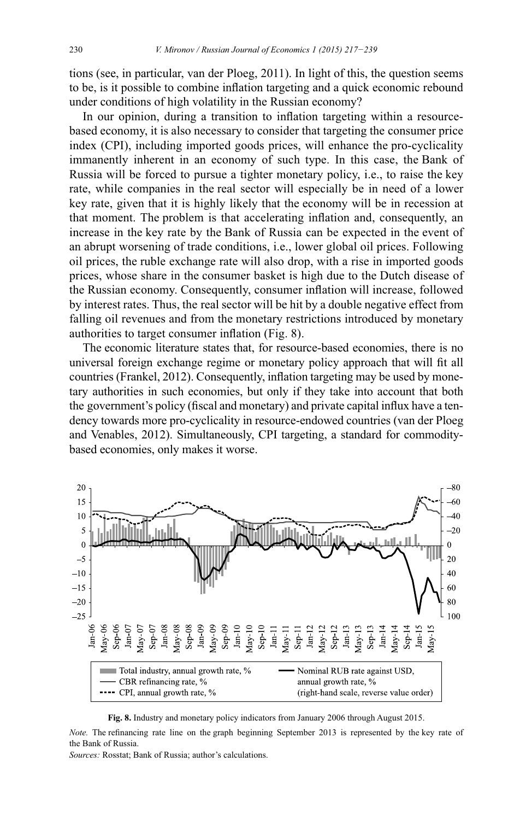tions (see, in particular, van der Ploeg, 2011). In light of this, the question seems to be, is it possible to combine inflation targeting and a quick economic rebound under conditions of high volatility in the Russian economy?

In our opinion, during a transition to inflation targeting within a resourcebased economy, it is also necessary to consider that targeting the consumer price index (CPI), including imported goods prices, will enhance the pro-cyclicality immanently inherent in an economy of such type. In this case, the Bank of Russia will be forced to pursue a tighter monetary policy, i.e., to raise the key rate, while companies in the real sector will especially be in need of a lower key rate, given that it is highly likely that the economy will be in recession at that moment. The problem is that accelerating inflation and, consequently, an increase in the key rate by the Bank of Russia can be expected in the event of an abrupt worsening of trade conditions, i.e., lower global oil prices. Following oil prices, the ruble exchange rate will also drop, with a rise in imported goods prices, whose share in the consumer basket is high due to the Dutch disease of the Russian economy. Consequently, consumer inflation will increase, followed by interest rates. Thus, the real sector will be hit by a double negative effect from falling oil revenues and from the monetary restrictions introduced by monetary authorities to target consumer inflation (Fig. 8).

The economic literature states that, for resource-based economies, there is no universal foreign exchange regime or monetary policy approach that will fit all countries (Frankel, 2012). Consequently, inflation targeting may be used by monetary authorities in such economies, but only if they take into account that both the government's policy (fiscal and monetary) and private capital influx have a tendency towards more pro-cyclicality in resource-endowed countries (van der Ploeg and Venables, 2012). Simultaneously, CPI targeting, a standard for commoditybased economies, only makes it worse.



**Fig. 8.** Industry and monetary policy indicators from January 2006 through August 2015.

*Note.* The refinancing rate line on the graph beginning September 2013 is represented by the key rate of the Bank of Russia.

*Sources: Rosstat: Bank of Russia: author's calculations.*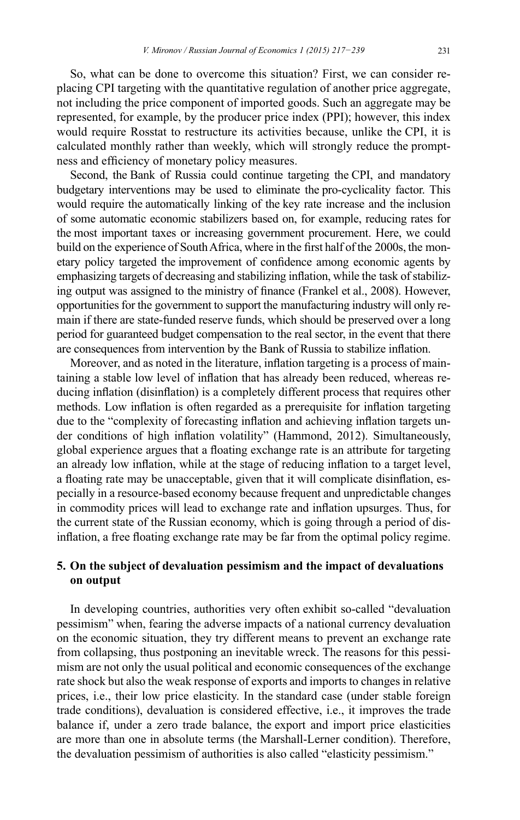So, what can be done to overcome this situation? First, we can consider replacing CPI targeting with the quantitative regulation of another price aggregate, not including the price component of imported goods. Such an aggregate may be represented, for example, by the producer price index (PPI); however, this index would require Rosstat to restructure its activities because, unlike the CPI, it is calculated monthly rather than weekly, which will strongly reduce the promptness and efficiency of monetary policy measures.

Second, the Bank of Russia could continue targeting the CPI, and mandatory budgetary interventions may be used to eliminate the pro-cyclicality factor. This would require the automatically linking of the key rate increase and the inclusion of some automatic economic stabilizers based on, for example, reducing rates for the most important taxes or increasing government procurement. Here, we could build on the experience of South Africa, where in the first half of the 2000s, the monetary policy targeted the improvement of confidence among economic agents by emphasizing targets of decreasing and stabilizing inflation, while the task of stabilizing output was assigned to the ministry of finance (Frankel et al., 2008). However, opportunities for the government to support the manufacturing industry will only remain if there are state-funded reserve funds, which should be preserved over a long period for guaranteed budget compensation to the real sector, in the event that there are consequences from intervention by the Bank of Russia to stabilize inflation.

Moreover, and as noted in the literature, inflation targeting is a process of maintaining a stable low level of inflation that has already been reduced, whereas reducing inflation (disinflation) is a completely different process that requires other methods. Low inflation is often regarded as a prerequisite for inflation targeting due to the "complexity of forecasting inflation and achieving inflation targets under conditions of high inflation volatility" (Hammond, 2012). Simultaneously, global experience argues that a floating exchange rate is an attribute for targeting an already low inflation, while at the stage of reducing inflation to a target level, a floating rate may be unacceptable, given that it will complicate disinflation, especially in a resource-based economy because frequent and unpredictable changes in commodity prices will lead to exchange rate and inflation upsurges. Thus, for the current state of the Russian economy, which is going through a period of disinflation, a free floating exchange rate may be far from the optimal policy regime.

## **5. On the subject of devaluation pessimism and the impact of devaluations on output**

In developing countries, authorities very often exhibit so-called "devaluation pessimism" when, fearing the adverse impacts of a national currency devaluation on the economic situation, they try different means to prevent an exchange rate from collapsing, thus postponing an inevitable wreck. The reasons for this pessimism are not only the usual political and economic consequences of the exchange rate shock but also the weak response of exports and imports to changes in relative prices, i.e., their low price elasticity. In the standard case (under stable foreign trade conditions), devaluation is considered effective, i.e., it improves the trade balance if, under a zero trade balance, the export and import price elasticities are more than one in absolute terms (the Marshall-Lerner condition). Therefore, the devaluation pessimism of authorities is also called "elasticity pessimism."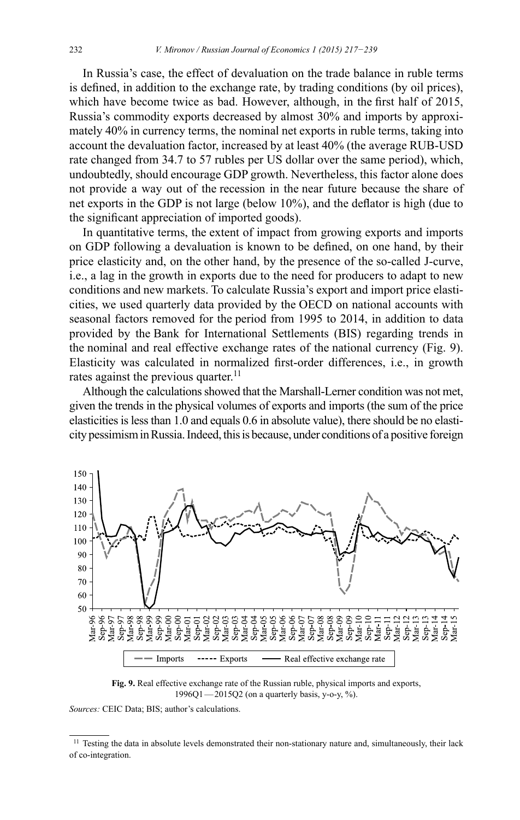In Russia's case, the effect of devaluation on the trade balance in ruble terms is defined, in addition to the exchange rate, by trading conditions (by oil prices), which have become twice as bad. However, although, in the first half of 2015, Russia's commodity exports decreased by almost 30% and imports by approximately 40% in currency terms, the nominal net exports in ruble terms, taking into account the devaluation factor, increased by at least 40% (the average RUB-USD rate changed from 34.7 to 57 rubles per US dollar over the same period), which, undoubtedly, should encourage GDP growth. Nevertheless, this factor alone does not provide a way out of the recession in the near future because the share of net exports in the GDP is not large (below  $10\%$ ), and the deflator is high (due to the significant appreciation of imported goods).

In quantitative terms, the extent of impact from growing exports and imports on GDP following a devaluation is known to be defined, on one hand, by their price elasticity and, on the other hand, by the presence of the so-called J-curve, i.e., a lag in the growth in exports due to the need for producers to adapt to new conditions and new markets. To calculate Russia's export and import price elasticities, we used quarterly data provided by the OECD on national accounts with seasonal factors removed for the period from 1995 to 2014, in addition to data provided by the Bank for International Settlements (BIS) regarding trends in the nominal and real effective exchange rates of the national currency (Fig. 9). Elasticity was calculated in normalized first-order differences, i.e., in growth rates against the previous quarter.<sup>11</sup>

Although the calculations showed that the Marshall-Lerner condition was not met, given the trends in the physical volumes of exports and imports (the sum of the price elasticities is less than 1.0 and equals 0.6 in absolute value), there should be no elasticity pessimism in Russia. Indeed, this is because, under conditions of a positive foreign



**Fig. 9.** Real effective exchange rate of the Russian ruble, physical imports and exports,  $1996Q1 - 2015Q2$  (on a quarterly basis, y-o-y, %).

*Sources: CEIC Data; BIS; author's calculations.* 

<sup>&</sup>lt;sup>11</sup> Testing the data in absolute levels demonstrated their non-stationary nature and, simultaneously, their lack of co-integration.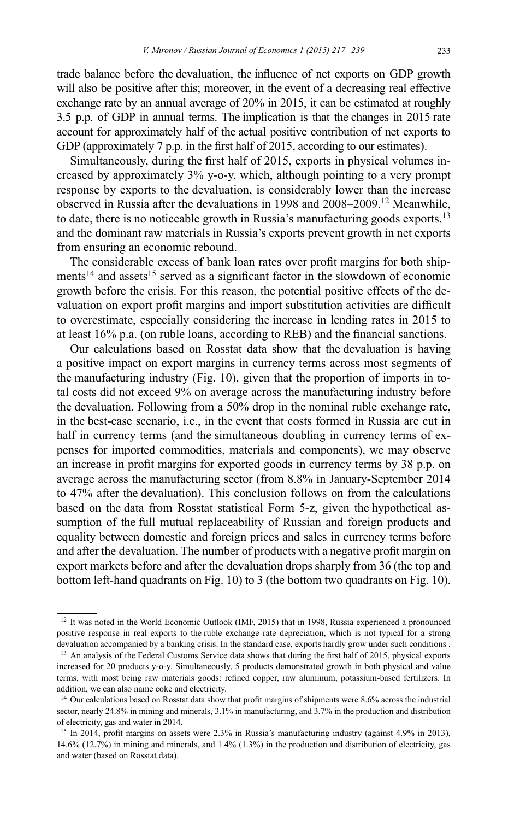trade balance before the devaluation, the influence of net exports on GDP growth will also be positive after this; moreover, in the event of a decreasing real effective exchange rate by an annual average of 20% in 2015, it can be estimated at roughly 3.5 p.p. of GDP in annual terms. The implication is that the changes in 2015 rate account for approximately half of the actual positive contribution of net exports to GDP (approximately 7 p.p. in the first half of 2015, according to our estimates).

Simultaneously, during the first half of 2015, exports in physical volumes increased by approximately 3% y-o-y, which, although pointing to a very prompt response by exports to the devaluation, is considerably lower than the increase observed in Russia after the devaluations in 1998 and 2008-2009.<sup>12</sup> Meanwhile, to date, there is no noticeable growth in Russia's manufacturing goods exports,  $^{13}$ and the dominant raw materials in Russia's exports prevent growth in net exports from ensuring an economic rebound.

The considerable excess of bank loan rates over profit margins for both shipments<sup>14</sup> and assets<sup>15</sup> served as a significant factor in the slowdown of economic growth before the crisis. For this reason, the potential positive effects of the devaluation on export profit margins and import substitution activities are difficult to overestimate, especially considering the increase in lending rates in 2015 to at least 16% p.a. (on ruble loans, according to REB) and the financial sanctions.

Our calculations based on Rosstat data show that the devaluation is having a positive impact on export margins in currency terms across most segments of the manufacturing industry (Fig. 10), given that the proportion of imports in total costs did not exceed 9% on average across the manufacturing industry before the devaluation. Following from a 50% drop in the nominal ruble exchange rate. in the best-case scenario, i.e., in the event that costs formed in Russia are cut in half in currency terms (and the simultaneous doubling in currency terms of expenses for imported commodities, materials and components), we may observe an increase in profit margins for exported goods in currency terms by 38 p.p. on average across the manufacturing sector (from 8.8% in January-September 2014 to 47% after the devaluation). This conclusion follows on from the calculations based on the data from Rosstat statistical Form 5-z, given the hypothetical assumption of the full mutual replaceability of Russian and foreign products and equality between domestic and foreign prices and sales in currency terms before and after the devaluation. The number of products with a negative profit margin on export markets before and after the devaluation drops sharply from 36 (the top and bottom left-hand quadrants on Fig. 10) to 3 (the bottom two quadrants on Fig. 10).

<sup>&</sup>lt;sup>12</sup> It was noted in the World Economic Outlook (IMF, 2015) that in 1998, Russia experienced a pronounced positive response in real exports to the ruble exchange rate depreciation, which is not typical for a strong devaluation accompanied by a banking crisis. In the standard case, exports hardly grow under such conditions.

<sup>&</sup>lt;sup>13</sup> An analysis of the Federal Customs Service data shows that during the first half of 2015, physical exports increased for 20 products y-o-y. Simultaneously, 5 products demonstrated growth in both physical and value terms, with most being raw materials goods: refined copper, raw aluminum, potassium-based fertilizers. In addition, we can also name coke and electricity.

<sup>&</sup>lt;sup>14</sup> Our calculations based on Rosstat data show that profit margins of shipments were 8.6% across the industrial sector, nearly 24.8% in mining and minerals, 3.1% in manufacturing, and 3.7% in the production and distribution of electricity, gas and water in 2014.

<sup>&</sup>lt;sup>15</sup> In 2014, profit margins on assets were 2.3% in Russia's manufacturing industry (against 4.9% in 2013),  $14.6\%$  (12.7%) in mining and minerals, and 1.4% (1.3%) in the production and distribution of electricity, gas and water (based on Rosstat data).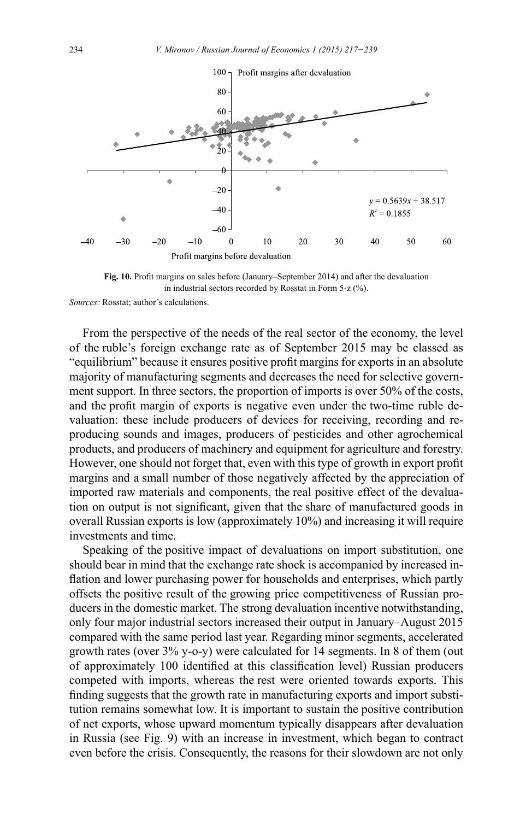

Fig. 10. Profit margins on sales before (January–September 2014) and after the devaluation in industrial sectors recorded by Rosstat in Form 5-z  $(\% )$ .

*Sources:* Rosstat; author's calculations.

From the perspective of the needs of the real sector of the economy, the level of the ruble's foreign exchange rate as of September 2015 may be classed as "equilibrium" because it ensures positive profit margins for exports in an absolute majority of manufacturing segments and decreases the need for selective government support. In three sectors, the proportion of imports is over 50% of the costs, and the profit margin of exports is negative even under the two-time ruble devaluation: these include producers of devices for receiving, recording and reproducing sounds and images, producers of pesticides and other agrochemical products, and producers of machinery and equipment for agriculture and forestry. However, one should not forget that, even with this type of growth in export profit margins and a small number of those negatively affected by the appreciation of imported raw materials and components, the real positive effect of the devaluation on output is not significant, given that the share of manufactured goods in overall Russian exports is low (approximately 10%) and increasing it will require investments and time.

Speaking of the positive impact of devaluations on import substitution, one should bear in mind that the exchange rate shock is accompanied by increased inflation and lower purchasing power for households and enterprises, which partly offsets the positive result of the growing price competitiveness of Russian producers in the domestic market. The strong devaluation incentive notwithstanding, only four major industrial sectors increased their output in January–August 2015 compared with the same period last year. Regarding minor segments, accelerated growth rates (over 3% y-o-y) were calculated for 14 segments. In 8 of them (out of approximately 100 identified at this classification level) Russian producers competed with imports, whereas the rest were oriented towards exports. This finding suggests that the growth rate in manufacturing exports and import substitution remains somewhat low. It is important to sustain the positive contribution of net exports, whose upward momentum typically disappears after devaluation in Russia (see Fig. 9) with an increase in investment, which began to contract even before the crisis. Consequently, the reasons for their slowdown are not only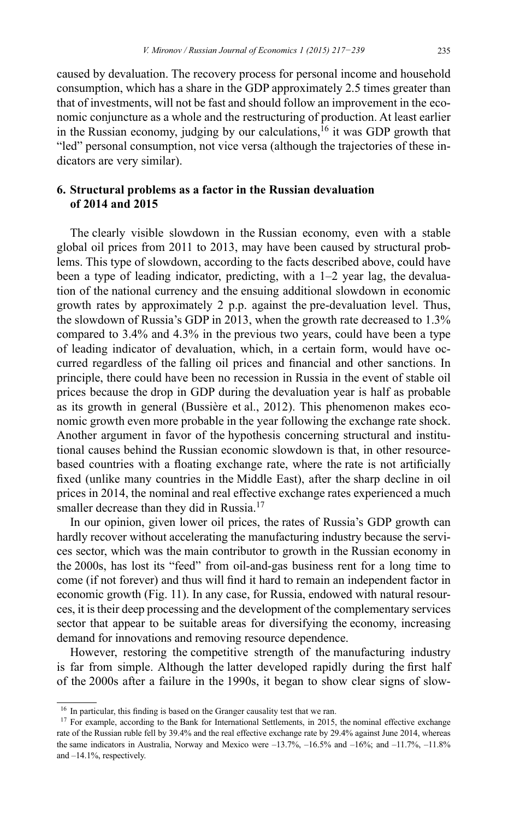caused by devaluation. The recovery process for personal income and household consumption, which has a share in the GDP approximately 2.5 times greater than that of investments, will not be fast and should follow an improvement in the economic conjuncture as a whole and the restructuring of production. At least earlier in the Russian economy, judging by our calculations,<sup>16</sup> it was GDP growth that "led" personal consumption, not vice versa (although the trajectories of these indicators are very similar).

#### **6. Structural problems as a factor in the Russian devaluation of 2014 and 2015**

The clearly visible slowdown in the Russian economy, even with a stable global oil prices from 2011 to 2013, may have been caused by structural problems. This type of slowdown, according to the facts described above, could have been a type of leading indicator, predicting, with a 1–2 year lag, the devaluation of the national currency and the ensuing additional slowdown in economic growth rates by approximately 2 p.p. against the pre-devaluation level. Thus, the slowdown of Russia's GDP in 2013, when the growth rate decreased to 1.3% compared to 3.4% and 4.3% in the previous two years, could have been a type of leading indicator of devaluation, which, in a certain form, would have occurred regardless of the falling oil prices and financial and other sanctions. In principle, there could have been no recession in Russia in the event of stable oil prices because the drop in GDP during the devaluation year is half as probable as its growth in general (Bussière et al., 2012). This phenomenon makes economic growth even more probable in the year following the exchange rate shock. Another argument in favor of the hypothesis concerning structural and institutional causes behind the Russian economic slowdown is that, in other resourcebased countries with a floating exchange rate, where the rate is not artificially fixed (unlike many countries in the Middle East), after the sharp decline in oil prices in 2014, the nominal and real effective exchange rates experienced a much smaller decrease than they did in Russia.<sup>17</sup>

In our opinion, given lower oil prices, the rates of Russia's GDP growth can hardly recover without accelerating the manufacturing industry because the services sector, which was the main contributor to growth in the Russian economy in the 2000s, has lost its "feed" from oil-and-gas business rent for a long time to come (if not forever) and thus will find it hard to remain an independent factor in economic growth (Fig. 11). In any case, for Russia, endowed with natural resources, it is their deep processing and the development of the complementary services sector that appear to be suitable areas for diversifying the economy, increasing demand for innovations and removing resource dependence.

However, restoring the competitive strength of the manufacturing industry is far from simple. Although the latter developed rapidly during the first half of the 2000s after a failure in the 1990s, it began to show clear signs of slow-

 $16$  In particular, this finding is based on the Granger causality test that we ran.

<sup>&</sup>lt;sup>17</sup> For example, according to the Bank for International Settlements, in 2015, the nominal effective exchange rate of the Russian ruble fell by 39.4% and the real effective exchange rate by 29.4% against June 2014, whereas the same indicators in Australia, Norway and Mexico were  $-13.7\%$ ,  $-16.5\%$  and  $-16\%$ ; and  $-11.7\%$ ,  $-11.8\%$ and –14.1%, respectively.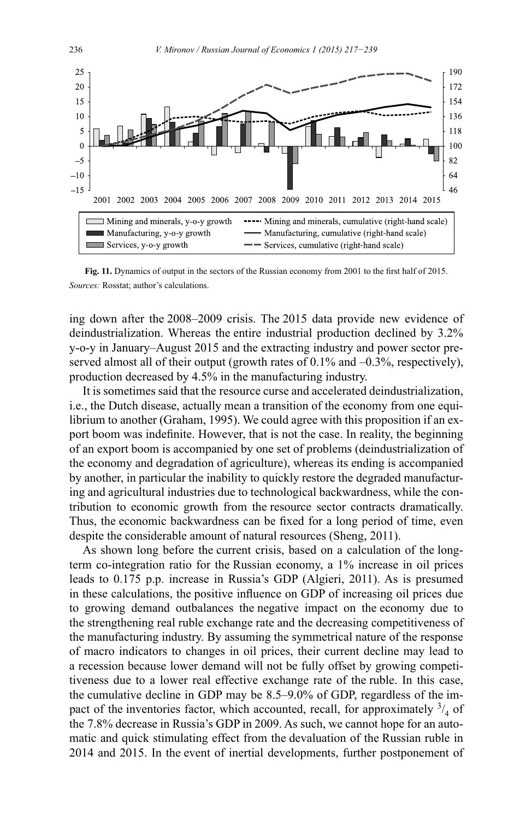

Fig. 11. Dynamics of output in the sectors of the Russian economy from 2001 to the first half of 2015. *Sources:* Rosstat; author's calculations.

ing down after the 2008–2009 crisis. The 2015 data provide new evidence of deindustrialization. Whereas the entire industrial production declined by 3.2% y-o-y in January-August 2015 and the extracting industry and power sector preserved almost all of their output (growth rates of  $0.1\%$  and  $-0.3\%$ , respectively), production decreased by 4.5% in the manufacturing industry.

It is sometimes said that the resource curse and accelerated deindustrialization, i.e., the Dutch disease, actually mean a transition of the economy from one equilibrium to another (Graham, 1995). We could agree with this proposition if an export boom was indefinite. However, that is not the case. In reality, the beginning of an export boom is accompanied by one set of problems (deindustrialization of the economy and degradation of agriculture), whereas its ending is accompanied by another, in particular the inability to quickly restore the degraded manufacturing and agricultural industries due to technological backwardness, while the contribution to economic growth from the resource sector contracts dramatically. Thus, the economic backwardness can be fixed for a long period of time, even despite the considerable amount of natural resources (Sheng, 2011).

As shown long before the current crisis, based on a calculation of the longterm co-integration ratio for the Russian economy, a 1% increase in oil prices leads to 0.175 p.p. increase in Russia's GDP (Algieri, 2011). As is presumed in these calculations, the positive influence on GDP of increasing oil prices due to growing demand outbalances the negative impact on the economy due to the strengthening real ruble exchange rate and the decreasing competitiveness of the manufacturing industry. By assuming the symmetrical nature of the response of macro indicators to changes in oil prices, their current decline may lead to a recession because lower demand will not be fully offset by growing competitiveness due to a lower real effective exchange rate of the ruble. In this case, the cumulative decline in GDP may be 8.5–9.0% of GDP, regardless of the impact of the inventories factor, which accounted, recall, for approximately  $\frac{3}{4}$  of the 7.8% decrease in Russia's GDP in 2009. As such, we cannot hope for an automatic and quick stimulating effect from the devaluation of the Russian ruble in 2014 and 2015. In the event of inertial developments, further postponement of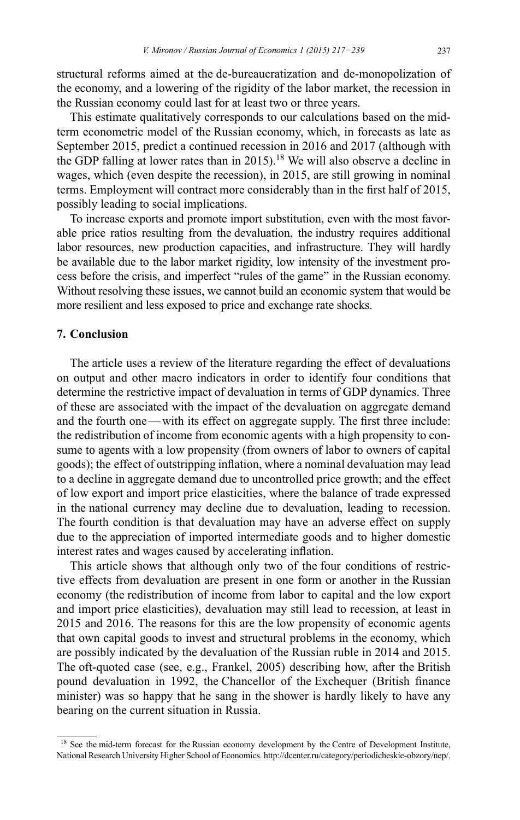structural reforms aimed at the de-bureaucratization and de-monopolization of the economy, and a lowering of the rigidity of the labor market, the recession in the Russian economy could last for at least two or three years.

This estimate qualitatively corresponds to our calculations based on the midterm econometric model of the Russian economy, which, in forecasts as late as September 2015, predict a continued recession in 2016 and 2017 (although with the GDP falling at lower rates than in 2015).<sup>18</sup> We will also observe a decline in wages, which (even despite the recession), in 2015, are still growing in nominal terms. Employment will contract more considerably than in the first half of 2015, possibly leading to social implications.

To increase exports and promote import substitution, even with the most favorable price ratios resulting from the devaluation, the industry requires additional labor resources, new production capacities, and infrastructure. They will hardly be available due to the labor market rigidity, low intensity of the investment process before the crisis, and imperfect "rules of the game" in the Russian economy. Without resolving these issues, we cannot build an economic system that would be more resilient and less exposed to price and exchange rate shocks.

#### **7. Conclusion**

The article uses a review of the literature regarding the effect of devaluations on output and other macro indicators in order to identify four conditions that determine the restrictive impact of devaluation in terms of GDP dynamics. Three of these are associated with the impact of the devaluation on aggregate demand and the fourth one—with its effect on aggregate supply. The first three include: the redistribution of income from economic agents with a high propensity to consume to agents with a low propensity (from owners of labor to owners of capital goods); the effect of outstripping inflation, where a nominal devaluation may lead to a decline in aggregate demand due to uncontrolled price growth; and the effect of low export and import price elasticities, where the balance of trade expressed in the national currency may decline due to devaluation, leading to recession. The fourth condition is that devaluation may have an adverse effect on supply due to the appreciation of imported intermediate goods and to higher domestic interest rates and wages caused by accelerating inflation.

This article shows that although only two of the four conditions of restrictive effects from devaluation are present in one form or another in the Russian economy (the redistribution of income from labor to capital and the low export and import price elasticities), devaluation may still lead to recession, at least in 2015 and 2016. The reasons for this are the low propensity of economic agents that own capital goods to invest and structural problems in the economy, which are possibly indicated by the devaluation of the Russian ruble in 2014 and 2015. The oft-quoted case (see, e.g., Frankel, 2005) describing how, after the British pound devaluation in 1992, the Chancellor of the Exchequer (British finance minister) was so happy that he sang in the shower is hardly likely to have any bearing on the current situation in Russia.

<sup>&</sup>lt;sup>18</sup> See the mid-term forecast for the Russian economy development by the Centre of Development Institute, National Research University Higher School of Economics. http://dcenter.ru/category/periodicheskie-obzory/nep/.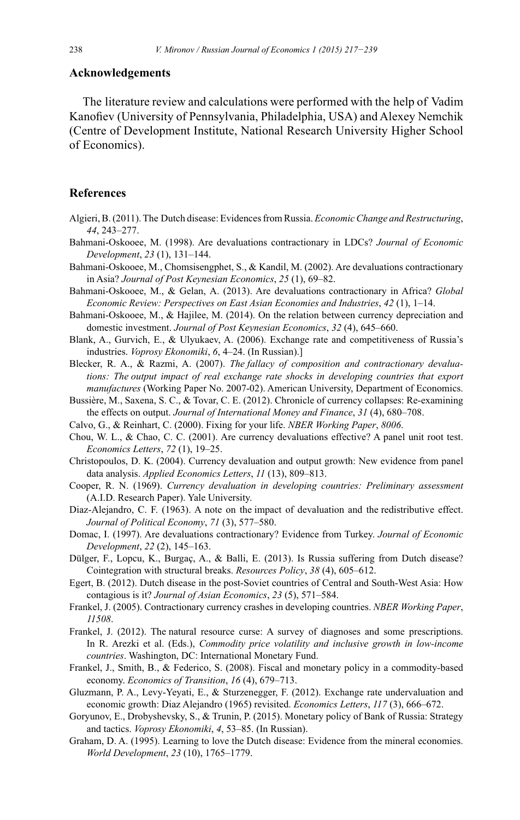#### **Acknowledgements**

The literature review and calculations were performed with the help of Vadim Kanofiev (University of Pennsylvania, Philadelphia, USA) and Alexey Nemchik (Centre of Development Institute, National Research University Higher School) of Economics).

#### **References**

- Algieri, B. (2011). The Dutch disease: Evidences from Russia. *Economic Change and Restructuring*, 44, 243-277.
- Bahmani-Oskooee, M. (1998). Are devaluations contractionary in LDCs? Journal of Economic Development, 23 (1), 131-144.
- Bahmani-Oskooee, M., Chomsisengphet, S., & Kandil, M. (2002). Are devaluations contractionary in Asia? Journal of Post Keynesian Economics, 25 (1), 69–82.
- Bahmani-Oskooee, M., & Gelan, A. (2013). Are devaluations contractionary in Africa? Global Economic Review: Perspectives on East Asian Economies and Industries, 42 (1), 1–14.
- Bahmani-Oskooee, M., & Hajilee, M. (2014). On the relation between currency depreciation and domestic investment. Journal of Post Keynesian Economics, 32 (4), 645–660.
- Blank, A., Gurvich, E., & Ulyukaev, A. (2006). Exchange rate and competitiveness of Russia's industries. Voprosy Ekonomiki, 6, 4–24. (In Russian).]
- Blecker, R. A., & Razmi, A. (2007). The fallacy of composition and contractionary devaluations: The output impact of real exchange rate shocks in developing countries that export manufactures (Working Paper No. 2007-02). American University, Department of Economics.
- Bussière, M., Saxena, S. C., & Tovar, C. E. (2012). Chronicle of currency collapses: Re-examining the effects on output. Journal of International Money and Finance, 31 (4), 680–708.
- Calvo, G., & Reinhart, C. (2000). Fixing for your life. NBER Working Paper, 8006.
- Chou, W. L., & Chao, C. C. (2001). Are currency devaluations effective? A panel unit root test. *Economics Letters*, 72 (1), 19–25.
- Christopoulos, D. K. (2004). Currency devaluation and output growth: New evidence from panel data analysis. Applied Economics Letters, 11 (13), 809-813.
- Cooper, R. N. (1969). Currency devaluation in developing countries: Preliminary assessment (A.I.D. Research Paper). Yale University.
- Diaz-Alejandro, C. F. (1963). A note on the impact of devaluation and the redistributive effect. Journal of Political Economy, 71 (3), 577-580.
- Domac, I. (1997). Are devaluations contractionary? Evidence from Turkey. Journal of Economic Development, 22 (2), 145-163.
- Dülger, F., Lopcu, K., Burgaç, A., & Balli, E. (2013). Is Russia suffering from Dutch disease? Cointegration with structural breaks. Resources Policy, 38 (4), 605-612.
- Egert, B. (2012). Dutch disease in the post-Soviet countries of Central and South-West Asia: How contagious is it? Journal of Asian Economics, 23 (5), 571–584.
- Frankel, J. (2005). Contractionary currency crashes in developing countries. NBER Working Paper, 11508.
- Frankel, J. (2012). The natural resource curse: A survey of diagnoses and some prescriptions. In R. Arezki et al. (Eds.), Commodity price volatility and inclusive growth in low-income countries. Washington, DC: International Monetary Fund.
- Frankel, J., Smith, B., & Federico, S. (2008). Fiscal and monetary policy in a commodity-based economy. Economics of Transition, 16 (4), 679-713.
- Gluzmann, P. A., Levy-Yeyati, E., & Sturzenegger, F. (2012). Exchange rate undervaluation and economic growth: Diaz Alejandro (1965) revisited. *Economics Letters*, 117 (3), 666–672.
- Goryunov, E., Drobyshevsky, S., & Trunin, P. (2015). Monetary policy of Bank of Russia: Strategy and tactics. Voprosy Ekonomiki, 4, 53–85. (In Russian).
- Graham, D. A. (1995). Learning to love the Dutch disease: Evidence from the mineral economies. World Development, 23 (10), 1765-1779.